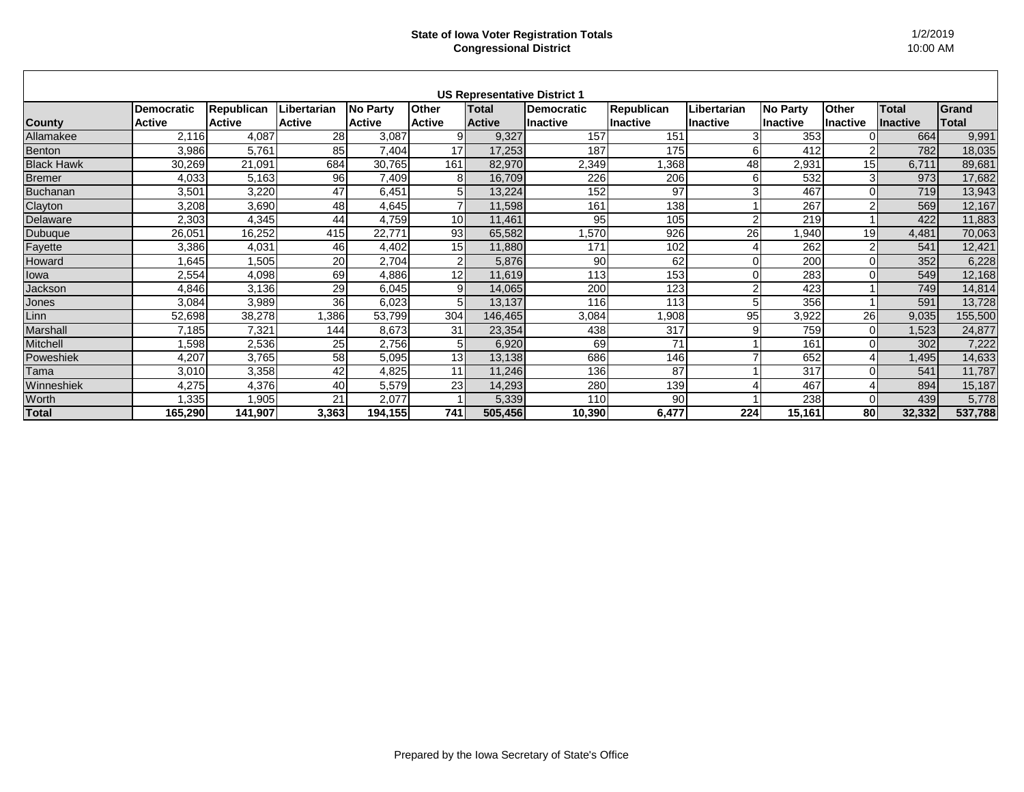## **State of Iowa Voter Registration Totals Congressional District**

| <b>US Representative District 1</b> |                   |                   |               |                 |                 |               |            |                   |                 |                 |                 |                 |         |
|-------------------------------------|-------------------|-------------------|---------------|-----------------|-----------------|---------------|------------|-------------------|-----------------|-----------------|-----------------|-----------------|---------|
|                                     | <b>Democratic</b> | <b>Republican</b> | Libertarian   | <b>No Party</b> | <b>Other</b>    | Total         | Democratic | <b>Republican</b> | Libertarian     | <b>No Party</b> | <b>Other</b>    | <b>Total</b>    | Grand   |
| <b>County</b>                       | <b>Active</b>     | <b>Active</b>     | <b>Active</b> | <b>Active</b>   | <b>Active</b>   | <b>Active</b> | lInactive  | Inactive          | <b>Inactive</b> | lInactive       | <b>Inactive</b> | <b>Inactive</b> | Total   |
| Allamakee                           | 2,116             | 4,087             | 28            | 3,087           |                 | 9,327         | 157        | 151               |                 | 353             |                 | 664             | 9,991   |
| Benton                              | 3,986             | 5,761             | 85            | 7,404           | 17              | 17,253        | 187        | 175               | 6               | 412             | $\overline{2}$  | 782             | 18,035  |
| <b>Black Hawk</b>                   | 30,269            | 21,091            | 684           | 30,765          | 161             | 82,970        | 2,349      | ,368              | 48              | 2,931           | 15 <sup>1</sup> | 6,711           | 89,681  |
| <b>Bremer</b>                       | 4,033             | 5,163             | 96            | 7,409           | 8 <sub>1</sub>  | 16,709        | 226        | 206               | 6               | 532             | $\mathbf{3}$    | 973             | 17,682  |
| <b>Buchanan</b>                     | 3,501             | 3,220             | 47            | 6,451           |                 | 13,224        | 152        | 97                | 3               | 467             |                 | 719             | 13,943  |
| Clayton                             | 3,208             | 3,690             | 48            | 4,645           |                 | 11,598        | 161        | 138               |                 | 267             | $\mathfrak{p}$  | 569             | 12,167  |
| Delaware                            | 2,303             | 4,345             | 44            | 4,759           | 10 <sup>1</sup> | 11,461        | 95         | 105               | $\mathcal{P}$   | 219             |                 | 422             | 11,883  |
| Dubuque                             | 26,051            | 16,252            | 415           | 22,771          | 93              | 65,582        | ,570       | 926               | 26              | ,940            | 19              | 4,481           | 70,063  |
| Fayette                             | 3,386             | 4,031             | 46            | 4,402           | 15 <sup>1</sup> | 11,880        | 171        | 102               |                 | 262             | $\mathcal{P}$   | 541             | 12,421  |
| Howard                              | 1,645             | ,505              | 20            | 2,704           |                 | 5,876         | 90         | 62                | $\Omega$        | 200             | $\Omega$        | 352             | 6,228   |
| lowa                                | 2,554             | 4,098             | 69            | 4,886           | 12              | 11,619        | 113        | 153               | $\Omega$        | 283             | $\Omega$        | 549             | 12,168  |
| Jackson                             | 4,846             | 3,136             | 29            | 6,045           | 9               | 14,065        | 200        | 123               | $\overline{2}$  | 423             |                 | 749             | 14,814  |
| Jones                               | 3,084             | 3,989             | 36            | 6,023           |                 | 13,137        | 116        | 113               | 5               | 356             |                 | 591             | 13,728  |
| Linn                                | 52,698            | 38,278            | ,386          | 53,799          | 304             | 146,465       | 3,084      | ,908              | 95              | 3,922           | 26              | 9,035           | 155,500 |
| Marshall                            | 7,185             | 7,321             | 144           | 8,673           | 31              | 23,354        | 438        | 317               | 9               | 759             | $\Omega$        | 1,523           | 24,877  |
| Mitchell                            | 1,598             | 2,536             | 25            | 2,756           |                 | 6,920         | 69         | 71                |                 | 161             | $\Omega$        | 302             | 7,222   |
| Poweshiek                           | 4,207             | 3,765             | 58            | 5,095           | 13              | 13,138        | 686        | 146               |                 | 652             |                 | 1,495           | 14,633  |
| Tama                                | 3,010             | 3,358             | 42            | 4,825           | 11              | 11,246        | 136        | 87                |                 | 317             | $\Omega$        | 541             | 11,787  |
| Winneshiek                          | 4,275             | 4,376             | 40            | 5,579           | 23              | 14,293        | 280        | 139               |                 | 467             |                 | 894             | 15,187  |
| Worth                               | 1,335             | ,905              | 21            | 2,077           |                 | 5,339         | 110        | 90                |                 | 238             |                 | 439             | 5,778   |
| <b>Total</b>                        | 165,290           | 141,907           | 3,363         | 194,155         | 741             | 505,456       | 10,390     | 6,477             | 224             | 15,161          | 80              | 32,332          | 537,788 |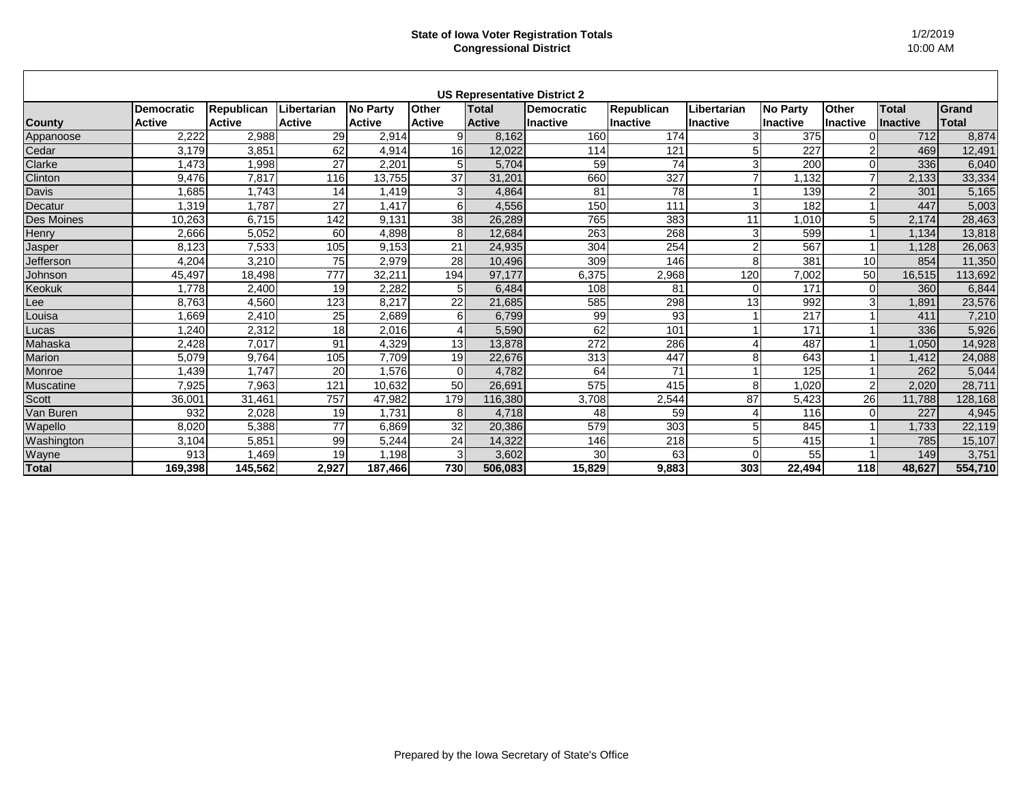## **State of Iowa Voter Registration Totals Congressional District**

| <b>US Representative District 2</b> |                   |               |                  |                 |                 |               |                 |                   |                |                 |                 |                 |              |
|-------------------------------------|-------------------|---------------|------------------|-----------------|-----------------|---------------|-----------------|-------------------|----------------|-----------------|-----------------|-----------------|--------------|
|                                     | <b>Democratic</b> | Republican    | Libertarian      | <b>No Party</b> | <b>Other</b>    | Total         | Democratic      | <b>Republican</b> | Libertarian    | <b>No Party</b> | <b>Other</b>    | <b>Total</b>    | Grand        |
| <b>County</b>                       | <b>Active</b>     | <b>Active</b> | <b>Active</b>    | <b>Active</b>   | <b>Active</b>   | <b>Active</b> | llnactive       | <b>Inactive</b>   | lInactive      | <b>Inactive</b> | <b>Inactive</b> | <b>Inactive</b> | <b>Total</b> |
| Appanoose                           | 2,222             | 2,988         | 29               | 2,914           | 9               | 8,162         | 160             | 174               | 3              | 375             |                 | 712             | 8,874        |
| Cedar                               | 3,179             | 3,85'         | 62               | 4,914           | 16 <sup>1</sup> | 12,022        | 114             | 121               | 5              | 227             | 2               | 469             | 12,491       |
| Clarke                              | 1,473             | 1,998         | 27               | 2,201           | 5 <sup>1</sup>  | 5,704         | 59              | 74                | 3              | 200             | $\Omega$        | 336             | 6,040        |
| Clinton                             | 9,476             | 7,817         | 116              | 13,755          | 37              | 31,201        | 660             | 327               |                | ,132            | $\overline{7}$  | 2,133           | 33,334       |
| Davis                               | ,685              | 1,743         | 14               | 1,419           | 31              | 4,864         | 81              | 78                |                | 139             |                 | 301             | 5,165        |
| Decatur                             | .319              | 1,787         | 27               | 1,417           | 6               | 4,556         | 150             | 111               | 3              | 182             |                 | 447             | 5,003        |
| Des Moines                          | 10,263            | 6,715         | 142              | 9,131           | 38              | 26,289        | 765             | 383               | 11             | .010            | 5               | 2,174           | 28,463       |
| Henry                               | 2,666             | 5,052         | 60               | 4,898           | 8               | 12,684        | 263             | 268               | 3              | 599             |                 | 1,134           | 13,818       |
| Jasper                              | 8,123             | 7,533         | 105              | 9,153           | 21              | 24,935        | 304             | 254               | $\overline{2}$ | 567             |                 | 1,128           | 26,063       |
| Jefferson                           | 4,204             | 3,210         | 75               | 2,979           | 28              | 10,496        | 309             | 146               | 8              | 381             | 10              | 854             | 11,350       |
| Johnson                             | 45,497            | 18,498        | $\overline{777}$ | 32,211          | 194             | 97,177        | 6,375           | 2,968             | 120            | 7,002           | 50              | 16,515          | 113,692      |
| <b>Keokuk</b>                       | 1,778             | 2,400         | 19               | 2,282           |                 | 6,484         | 108             | 81                |                | 171             | 0               | 360             | 6,844        |
| Lee                                 | 8,763             | 4,560         | 123              | 8,217           | 22              | 21,685        | 585             | 298               | 13             | 992             | 3 <sup>1</sup>  | 1,891           | 23,576       |
| Louisa                              | 1,669             | 2,410         | 25               | 2,689           | 61              | 6,799         | 99              | 93                |                | 217             |                 | 411             | 7,210        |
| Lucas                               | 1,240             | 2,312         | 18               | 2,016           |                 | 5,590         | 62              | 101               |                | 171             |                 | 336             | 5,926        |
| Mahaska                             | 2,428             | 7,017         | 91               | 4,329           | 13              | 13,878        | 272             | 286               | 4              | 487             |                 | 1,050           | 14,928       |
| Marion                              | 5,079             | 9,764         | 105              | 7,709           | 19              | 22,676        | 313             | 447               | 8              | 643             |                 | 1,412           | 24,088       |
| Monroe                              | 1,439             | 1,747         | 20               | 1,576           | $\Omega$        | 4,782         | 64              | 71                |                | 125             |                 | 262             | 5,044        |
| Muscatine                           | 7,925             | 7,963         | 121              | 10,632          | 50              | 26,691        | 575             | 415               | 8              | 1,020           | 2               | 2,020           | 28,711       |
| <b>Scott</b>                        | 36,001            | 31,461        | 757              | 47,982          | 179             | 116,380       | 3,708           | 2,544             | 87             | 5,423           | 26              | 11,788          | 128,168      |
| Van Buren                           | 932               | 2,028         | 19               | 1,731           | 8 <sup>1</sup>  | 4,718         | 48              | 59                | 4              | 116             | $\Omega$        | 227             | 4,945        |
| Wapello                             | 8,020             | 5,388         | 77               | 6,869           | 32              | 20,386        | 579             | 303               |                | 845             |                 | 1,733           | 22,119       |
| Washington                          | 3,104             | 5,851         | 99               | 5,244           | 24              | 14,322        | 146             | 218               | 5              | 415             |                 | 785             | 15,107       |
| Wayne                               | 913               | 1,469         | 19               | 1,198           | $\mathcal{E}$   | 3,602         | 30 <sup>°</sup> | 63                |                | 55              |                 | 149             | 3,751        |
| <b>Total</b>                        | 169,398           | 145,562       | 2,927            | 187,466         | 730             | 506,083       | 15,829          | 9,883             | 303            | 22,494          | <b>118</b>      | 48,627          | 554,710      |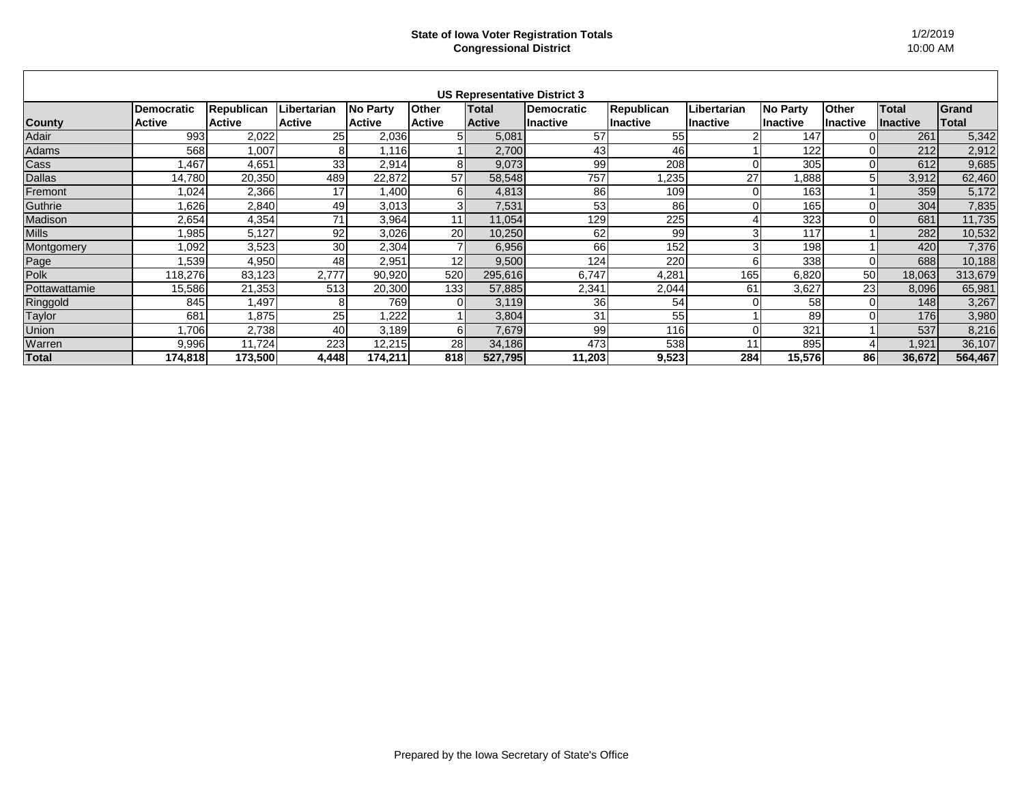| <b>US Representative District 3</b> |                   |                   |                 |               |                 |               |                   |                 |                  |                 |          |                 |         |
|-------------------------------------|-------------------|-------------------|-----------------|---------------|-----------------|---------------|-------------------|-----------------|------------------|-----------------|----------|-----------------|---------|
|                                     | <b>Democratic</b> | <b>Republican</b> | Libertarian     | No Party      | <b>Other</b>    | Total         | <b>Democratic</b> | Republican      | Libertarian      | <b>No Party</b> | Other    | <b>Total</b>    | Grand   |
| <b>County</b>                       | <b>Active</b>     | <b>Active</b>     | <b>Active</b>   | <b>Active</b> | <b>Active</b>   | <b>Active</b> | <b>Inactive</b>   | <b>Inactive</b> | <b>I</b> nactive | <b>Inactive</b> | Inactive | <b>Inactive</b> | Total   |
| Adair                               | 993               | 2,022             | 25              | 2,036         |                 | 5,081         | 57                | 55              |                  | 147             |          | 261             | 5,342   |
| Adams                               | 568               | 1,007             | 81              | 1,116         |                 | 2,700         | 43                | 46              |                  | 122             |          | 212             | 2,912   |
| Cass                                | ,467              | 4,651             | 33              | 2,914         |                 | 9,073         | 99                | 208             | $\Omega$         | 305             |          | 612             | 9,685   |
| <b>Dallas</b>                       | 14,780            | 20,350            | 489             | 22,872        | 57              | 58,548        | 757               | 235             | 27               | ,888            | 5        | 3,912           | 62,460  |
| Fremont                             | 1,024             | 2,366             | 17              | 1,400         |                 | 4,813         | 86                | 109             | $\overline{0}$   | 163             |          | 359             | 5,172   |
| Guthrie                             | 626,              | 2,840             | 49              | 3,013         |                 | 7,531         | 53                | 86              | $\overline{O}$   | 165             |          | 304             | 7,835   |
| Madison                             | 2,654             | 4,354             | 71              | 3,964         | 11              | 11,054        | 129               | 225             |                  | 323             |          | 681             | 11,735  |
| <b>Mills</b>                        | 985,              | 5,127             | 92              | 3,026         | 20 <sub>l</sub> | 10,250        | 62                | 99              | 3                | 117             |          | 282             | 10,532  |
| Montgomery                          | 1,092             | 3,523             | 30 <sub>l</sub> | 2,304         |                 | 6,956         | 66                | 152             | 3                | 198             |          | 420             | 7,376   |
| Page                                | 1,539             | 4,950             | 48              | 2,951         | 12              | 9,500         | 124               | 220             | 6                | 338             |          | 688             | 10,188  |
| Polk                                | 118,276           | 83,123            | 2,777           | 90,920        | 520             | 295,616       | 6,747             | 4,281           | 165 <sub>1</sub> | 6,820           | 50       | 18,063          | 313,679 |
| Pottawattamie                       | 15,586            | 21,353            | 513             | 20,300        | 133 <b>I</b>    | 57,885        | 2,341             | 2,044           | 61               | 3,627           | 23       | 8,096           | 65,981  |
| Ringgold                            | 845               | ,497              | 81              | 769           |                 | 3,119         | 36                | 54              | 0                | 58              |          | 148             | 3,267   |
| <b>Taylor</b>                       | 681               | ,875              | 25              | 1,222         |                 | 3,804         | 31                | 55              |                  | 89              |          | <b>176</b>      | 3,980   |
| Union                               | 1,706             | 2,738             | 40              | 3,189         | 61              | 7,679         | 99                | 116             | $\Omega$         | 321             |          | 537             | 8,216   |
| Warren                              | 9,996             | 11,724            | 223             | 12,215        | 28              | 34,186        | 473               | 538             | 11               | 895             |          | 1,921           | 36,107  |
| <b>Total</b>                        | 174,818           | 173,500           | 4,448           | 174,211       | 818             | 527,795       | 11,203            | 9,523           | 284              | 15,576          | 86       | 36,672          | 564,467 |